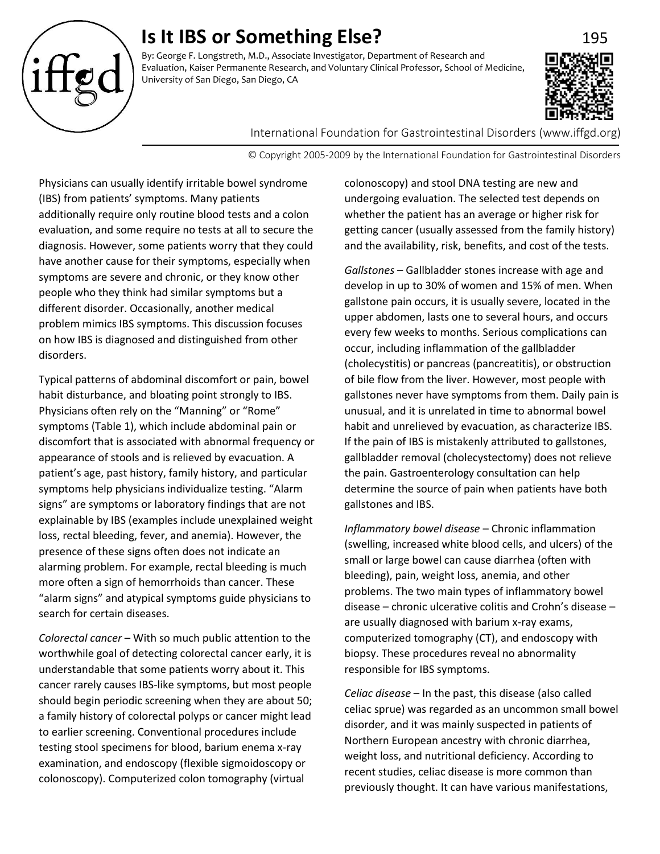# **Is It IBS or Something Else?** 195

By: George F. Longstreth, M.D., Associate Investigator, Department of Research and Evaluation, Kaiser Permanente Research, and Voluntary Clinical Professor, School of Medicine, University of San Diego, San Diego, CA



International Foundation for Gastrointestinal Disorders (www.iffgd.org)

© Copyright 2005-2009 by the International Foundation for Gastrointestinal Disorders

Physicians can usually identify irritable bowel syndrome (IBS) from patients' symptoms. Many patients additionally require only routine blood tests and a colon evaluation, and some require no tests at all to secure the diagnosis. However, some patients worry that they could have another cause for their symptoms, especially when symptoms are severe and chronic, or they know other people who they think had similar symptoms but a different disorder. Occasionally, another medical problem mimics IBS symptoms. This discussion focuses on how IBS is diagnosed and distinguished from other disorders.

Typical patterns of abdominal discomfort or pain, bowel habit disturbance, and bloating point strongly to IBS. Physicians often rely on the "Manning" or "Rome" symptoms (Table 1), which include abdominal pain or discomfort that is associated with abnormal frequency or appearance of stools and is relieved by evacuation. A patient's age, past history, family history, and particular symptoms help physicians individualize testing. "Alarm signs" are symptoms or laboratory findings that are not explainable by IBS (examples include unexplained weight loss, rectal bleeding, fever, and anemia). However, the presence of these signs often does not indicate an alarming problem. For example, rectal bleeding is much more often a sign of hemorrhoids than cancer. These "alarm signs" and atypical symptoms guide physicians to search for certain diseases.

*Colorectal cancer* – With so much public attention to the worthwhile goal of detecting colorectal cancer early, it is understandable that some patients worry about it. This cancer rarely causes IBS-like symptoms, but most people should begin periodic screening when they are about 50; a family history of colorectal polyps or cancer might lead to earlier screening. Conventional procedures include testing stool specimens for blood, barium enema x-ray examination, and endoscopy (flexible sigmoidoscopy or colonoscopy). Computerized colon tomography (virtual

colonoscopy) and stool DNA testing are new and undergoing evaluation. The selected test depends on whether the patient has an average or higher risk for getting cancer (usually assessed from the family history) and the availability, risk, benefits, and cost of the tests.

*Gallstones* – Gallbladder stones increase with age and develop in up to 30% of women and 15% of men. When gallstone pain occurs, it is usually severe, located in the upper abdomen, lasts one to several hours, and occurs every few weeks to months. Serious complications can occur, including inflammation of the gallbladder (cholecystitis) or pancreas (pancreatitis), or obstruction of bile flow from the liver. However, most people with gallstones never have symptoms from them. Daily pain is unusual, and it is unrelated in time to abnormal bowel habit and unrelieved by evacuation, as characterize IBS. If the pain of IBS is mistakenly attributed to gallstones, gallbladder removal (cholecystectomy) does not relieve the pain. Gastroenterology consultation can help determine the source of pain when patients have both gallstones and IBS.

*Inflammatory bowel disease* – Chronic inflammation (swelling, increased white blood cells, and ulcers) of the small or large bowel can cause diarrhea (often with bleeding), pain, weight loss, anemia, and other problems. The two main types of inflammatory bowel disease – chronic ulcerative colitis and Crohn's disease – are usually diagnosed with barium x-ray exams, computerized tomography (CT), and endoscopy with biopsy. These procedures reveal no abnormality responsible for IBS symptoms.

*Celiac disease* – In the past, this disease (also called celiac sprue) was regarded as an uncommon small bowel disorder, and it was mainly suspected in patients of Northern European ancestry with chronic diarrhea, weight loss, and nutritional deficiency. According to recent studies, celiac disease is more common than previously thought. It can have various manifestations,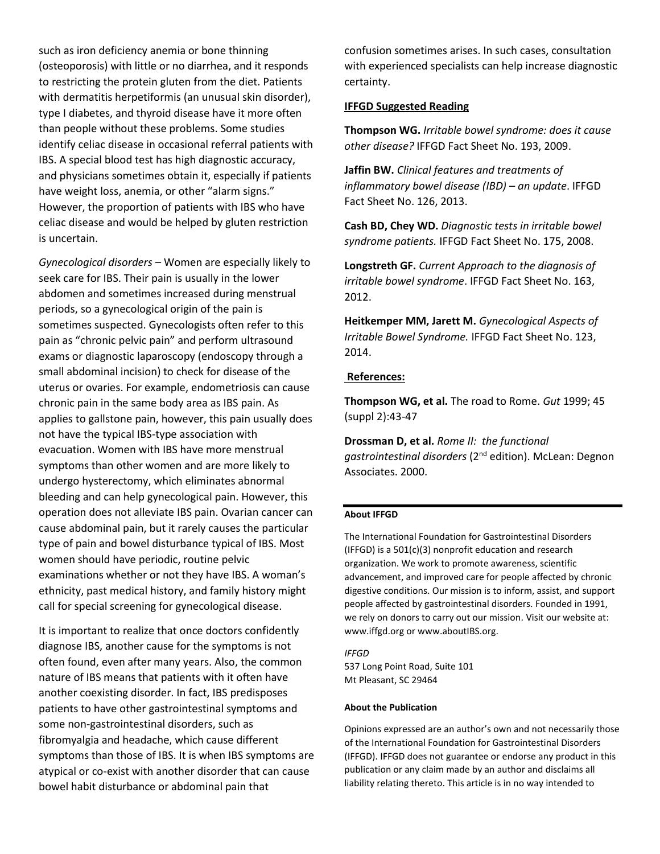such as iron deficiency anemia or bone thinning (osteoporosis) with little or no diarrhea, and it responds to restricting the protein gluten from the diet. Patients with dermatitis herpetiformis (an unusual skin disorder), type I diabetes, and thyroid disease have it more often than people without these problems. Some studies identify celiac disease in occasional referral patients with IBS. A special blood test has high diagnostic accuracy, and physicians sometimes obtain it, especially if patients have weight loss, anemia, or other "alarm signs." However, the proportion of patients with IBS who have celiac disease and would be helped by gluten restriction is uncertain.

*Gynecological disorders* – Women are especially likely to seek care for IBS. Their pain is usually in the lower abdomen and sometimes increased during menstrual periods, so a gynecological origin of the pain is sometimes suspected. Gynecologists often refer to this pain as "chronic pelvic pain" and perform ultrasound exams or diagnostic laparoscopy (endoscopy through a small abdominal incision) to check for disease of the uterus or ovaries. For example, endometriosis can cause chronic pain in the same body area as IBS pain. As applies to gallstone pain, however, this pain usually does not have the typical IBS-type association with evacuation. Women with IBS have more menstrual symptoms than other women and are more likely to undergo hysterectomy, which eliminates abnormal bleeding and can help gynecological pain. However, this operation does not alleviate IBS pain. Ovarian cancer can cause abdominal pain, but it rarely causes the particular type of pain and bowel disturbance typical of IBS. Most women should have periodic, routine pelvic examinations whether or not they have IBS. A woman's ethnicity, past medical history, and family history might call for special screening for gynecological disease.

It is important to realize that once doctors confidently diagnose IBS, another cause for the symptoms is not often found, even after many years. Also, the common nature of IBS means that patients with it often have another coexisting disorder. In fact, IBS predisposes patients to have other gastrointestinal symptoms and some non-gastrointestinal disorders, such as fibromyalgia and headache, which cause different symptoms than those of IBS. It is when IBS symptoms are atypical or co-exist with another disorder that can cause bowel habit disturbance or abdominal pain that

confusion sometimes arises. In such cases, consultation with experienced specialists can help increase diagnostic certainty.

## **IFFGD Suggested Reading**

**Thompson WG.** *Irritable bowel syndrome: does it cause other disease?* IFFGD Fact Sheet No. 193, 2009.

**Jaffin BW.** *Clinical features and treatments of inflammatory bowel disease (IBD) – an update*. IFFGD Fact Sheet No. 126, 2013.

**Cash BD, Chey WD.** *Diagnostic tests in irritable bowel syndrome patients.* IFFGD Fact Sheet No. 175, 2008.

**Longstreth GF.** *Current Approach to the diagnosis of irritable bowel syndrome*. IFFGD Fact Sheet No. 163, 2012.

**Heitkemper MM, Jarett M.** *Gynecological Aspects of Irritable Bowel Syndrome.* IFFGD Fact Sheet No. 123, 2014.

## **References:**

**Thompson WG, et al.** The road to Rome. *Gut* 1999; 45 (suppl 2):43-47

**Drossman D, et al.** *Rome II: the functional gastrointestinal disorders* (2nd edition). McLean: Degnon Associates. 2000.

## **About IFFGD**

The International Foundation for Gastrointestinal Disorders (IFFGD) is a 501(c)(3) nonprofit education and research organization. We work to promote awareness, scientific advancement, and improved care for people affected by chronic digestive conditions. Our mission is to inform, assist, and support people affected by gastrointestinal disorders. Founded in 1991, we rely on donors to carry out our mission. Visit our website at: www.iffgd.org or www.aboutIBS.org.

*IFFGD* 537 Long Point Road, Suite 101 Mt Pleasant, SC 29464

#### **About the Publication**

Opinions expressed are an author's own and not necessarily those of the International Foundation for Gastrointestinal Disorders (IFFGD). IFFGD does not guarantee or endorse any product in this publication or any claim made by an author and disclaims all liability relating thereto. This article is in no way intended to